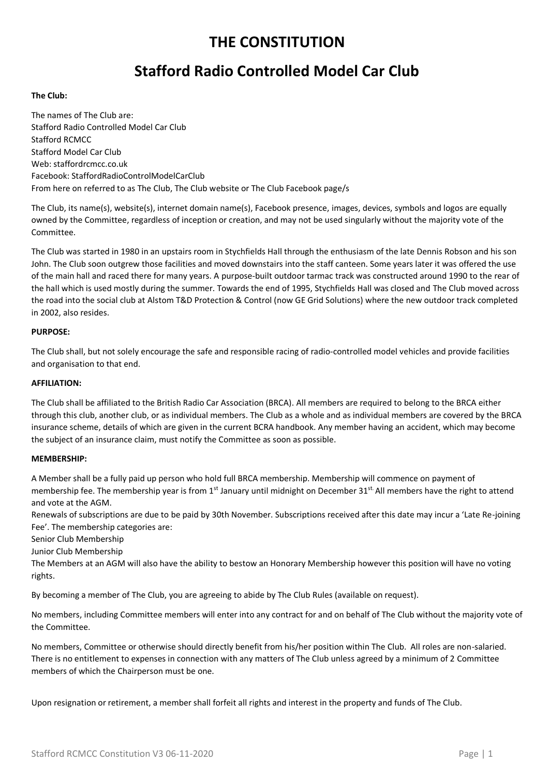## **THE CONSTITUTION**

# **Stafford Radio Controlled Model Car Club**

#### **The Club:**

The names of The Club are: Stafford Radio Controlled Model Car Club Stafford RCMCC Stafford Model Car Club Web: staffordrcmcc.co.uk Facebook: StaffordRadioControlModelCarClub From here on referred to as The Club, The Club website or The Club Facebook page/s

The Club, its name(s), website(s), internet domain name(s), Facebook presence, images, devices, symbols and logos are equally owned by the Committee, regardless of inception or creation, and may not be used singularly without the majority vote of the Committee.

The Club was started in 1980 in an upstairs room in Stychfields Hall through the enthusiasm of the late Dennis Robson and his son John. The Club soon outgrew those facilities and moved downstairs into the staff canteen. Some years later it was offered the use of the main hall and raced there for many years. A purpose-built outdoor tarmac track was constructed around 1990 to the rear of the hall which is used mostly during the summer. Towards the end of 1995, Stychfields Hall was closed and The Club moved across the road into the social club at Alstom T&D Protection & Control (now GE Grid Solutions) where the new outdoor track completed in 2002, also resides.

### **PURPOSE:**

The Club shall, but not solely encourage the safe and responsible racing of radio-controlled model vehicles and provide facilities and organisation to that end.

#### **AFFILIATION:**

The Club shall be affiliated to the British Radio Car Association (BRCA). All members are required to belong to the BRCA either through this club, another club, or as individual members. The Club as a whole and as individual members are covered by the BRCA insurance scheme, details of which are given in the current BCRA handbook. Any member having an accident, which may become the subject of an insurance claim, must notify the Committee as soon as possible.

#### **MEMBERSHIP:**

A Member shall be a fully paid up person who hold full BRCA membership. Membership will commence on payment of membership fee. The membership year is from 1<sup>st</sup> January until midnight on December 31<sup>st.</sup> All members have the right to attend and vote at the AGM.

Renewals of subscriptions are due to be paid by 30th November. Subscriptions received after this date may incur a 'Late Re-joining Fee'. The membership categories are:

Senior Club Membership

Junior Club Membership

The Members at an AGM will also have the ability to bestow an Honorary Membership however this position will have no voting rights.

By becoming a member of The Club, you are agreeing to abide by The Club Rules (available on request).

No members, including Committee members will enter into any contract for and on behalf of The Club without the majority vote of the Committee.

No members, Committee or otherwise should directly benefit from his/her position within The Club. All roles are non-salaried. There is no entitlement to expenses in connection with any matters of The Club unless agreed by a minimum of 2 Committee members of which the Chairperson must be one.

Upon resignation or retirement, a member shall forfeit all rights and interest in the property and funds of The Club.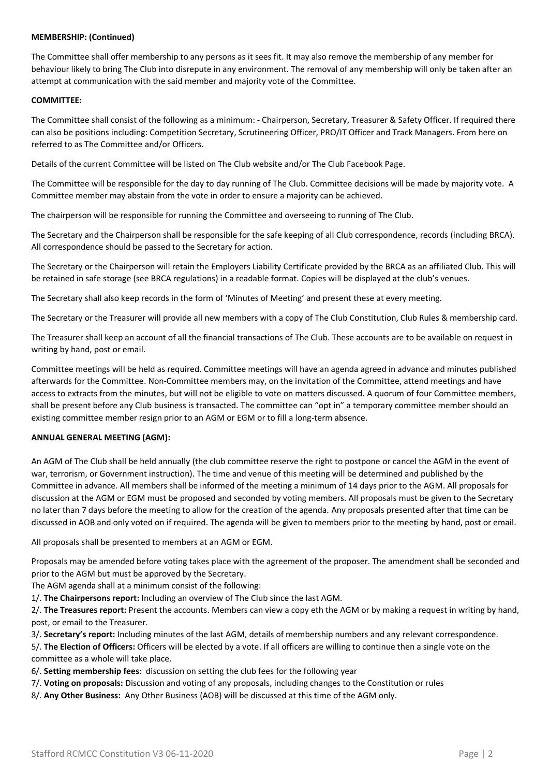## **MEMBERSHIP: (Continued)**

The Committee shall offer membership to any persons as it sees fit. It may also remove the membership of any member for behaviour likely to bring The Club into disrepute in any environment. The removal of any membership will only be taken after an attempt at communication with the said member and majority vote of the Committee.

## **COMMITTEE:**

The Committee shall consist of the following as a minimum: - Chairperson, Secretary, Treasurer & Safety Officer. If required there can also be positions including: Competition Secretary, Scrutineering Officer, PRO/IT Officer and Track Managers. From here on referred to as The Committee and/or Officers.

Details of the current Committee will be listed on The Club website and/or The Club Facebook Page.

The Committee will be responsible for the day to day running of The Club. Committee decisions will be made by majority vote. A Committee member may abstain from the vote in order to ensure a majority can be achieved.

The chairperson will be responsible for running the Committee and overseeing to running of The Club.

The Secretary and the Chairperson shall be responsible for the safe keeping of all Club correspondence, records (including BRCA). All correspondence should be passed to the Secretary for action.

The Secretary or the Chairperson will retain the Employers Liability Certificate provided by the BRCA as an affiliated Club. This will be retained in safe storage (see BRCA regulations) in a readable format. Copies will be displayed at the club's venues.

The Secretary shall also keep records in the form of 'Minutes of Meeting' and present these at every meeting.

The Secretary or the Treasurer will provide all new members with a copy of The Club Constitution, Club Rules & membership card.

The Treasurer shall keep an account of all the financial transactions of The Club. These accounts are to be available on request in writing by hand, post or email.

Committee meetings will be held as required. Committee meetings will have an agenda agreed in advance and minutes published afterwards for the Committee. Non-Committee members may, on the invitation of the Committee, attend meetings and have access to extracts from the minutes, but will not be eligible to vote on matters discussed. A quorum of four Committee members, shall be present before any Club business is transacted. The committee can "opt in" a temporary committee member should an existing committee member resign prior to an AGM or EGM or to fill a long-term absence.

### **ANNUAL GENERAL MEETING (AGM):**

An AGM of The Club shall be held annually (the club committee reserve the right to postpone or cancel the AGM in the event of war, terrorism, or Government instruction). The time and venue of this meeting will be determined and published by the Committee in advance. All members shall be informed of the meeting a minimum of 14 days prior to the AGM. All proposals for discussion at the AGM or EGM must be proposed and seconded by voting members. All proposals must be given to the Secretary no later than 7 days before the meeting to allow for the creation of the agenda. Any proposals presented after that time can be discussed in AOB and only voted on if required. The agenda will be given to members prior to the meeting by hand, post or email.

All proposals shall be presented to members at an AGM or EGM.

Proposals may be amended before voting takes place with the agreement of the proposer. The amendment shall be seconded and prior to the AGM but must be approved by the Secretary.

The AGM agenda shall at a minimum consist of the following:

1/. **The Chairpersons report:** Including an overview of The Club since the last AGM.

2/. **The Treasures report:** Present the accounts. Members can view a copy eth the AGM or by making a request in writing by hand, post, or email to the Treasurer.

3/. **Secretary's report:** Including minutes of the last AGM, details of membership numbers and any relevant correspondence.

5/. **The Election of Officers:** Officers will be elected by a vote. If all officers are willing to continue then a single vote on the committee as a whole will take place.

6/. **Setting membership fees**: discussion on setting the club fees for the following year

- 7/. **Voting on proposals:** Discussion and voting of any proposals, including changes to the Constitution or rules
- 8/. **Any Other Business:** Any Other Business (AOB) will be discussed at this time of the AGM only.